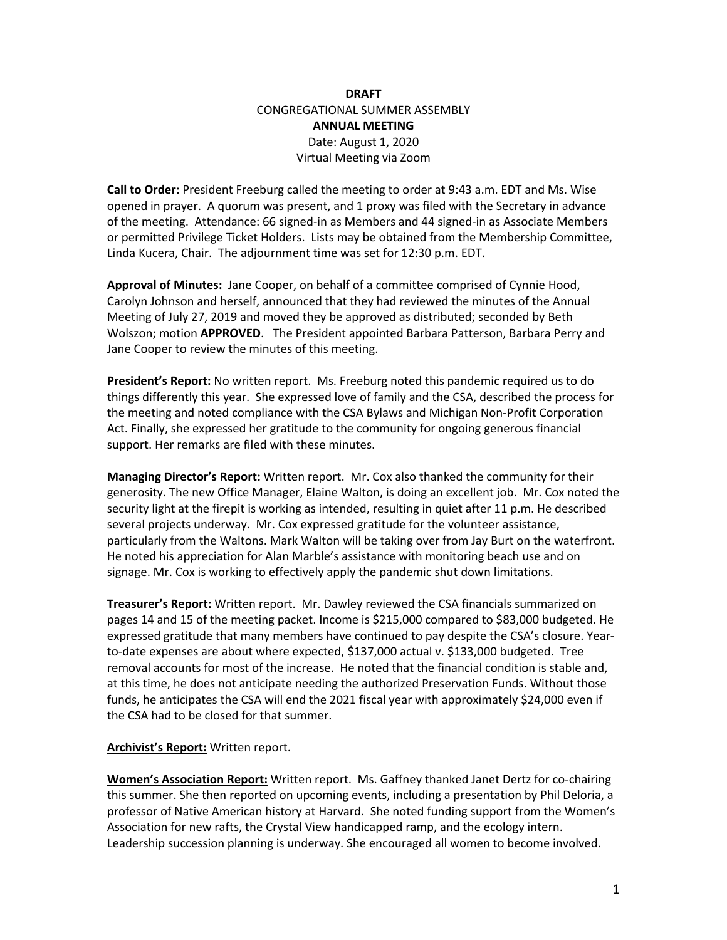# **DRAFT** CONGREGATIONAL SUMMER ASSEMBLY **ANNUAL MEETING** Date: August 1, 2020 Virtual Meeting via Zoom

**Call to Order:** President Freeburg called the meeting to order at 9:43 a.m. EDT and Ms. Wise opened in prayer. A quorum was present, and 1 proxy was filed with the Secretary in advance of the meeting. Attendance: 66 signed-in as Members and 44 signed-in as Associate Members or permitted Privilege Ticket Holders. Lists may be obtained from the Membership Committee, Linda Kucera, Chair. The adjournment time was set for 12:30 p.m. EDT.

**Approval of Minutes:** Jane Cooper, on behalf of a committee comprised of Cynnie Hood, Carolyn Johnson and herself, announced that they had reviewed the minutes of the Annual Meeting of July 27, 2019 and moved they be approved as distributed; seconded by Beth Wolszon; motion **APPROVED**. The President appointed Barbara Patterson, Barbara Perry and Jane Cooper to review the minutes of this meeting.

**President's Report:** No written report. Ms. Freeburg noted this pandemic required us to do things differently this year. She expressed love of family and the CSA, described the process for the meeting and noted compliance with the CSA Bylaws and Michigan Non-Profit Corporation Act. Finally, she expressed her gratitude to the community for ongoing generous financial support. Her remarks are filed with these minutes.

**Managing Director's Report:** Written report. Mr. Cox also thanked the community for their generosity. The new Office Manager, Elaine Walton, is doing an excellent job. Mr. Cox noted the security light at the firepit is working as intended, resulting in quiet after 11 p.m. He described several projects underway. Mr. Cox expressed gratitude for the volunteer assistance, particularly from the Waltons. Mark Walton will be taking over from Jay Burt on the waterfront. He noted his appreciation for Alan Marble's assistance with monitoring beach use and on signage. Mr. Cox is working to effectively apply the pandemic shut down limitations.

**Treasurer's Report:** Written report. Mr. Dawley reviewed the CSA financials summarized on pages 14 and 15 of the meeting packet. Income is \$215,000 compared to \$83,000 budgeted. He expressed gratitude that many members have continued to pay despite the CSA's closure. Yearto-date expenses are about where expected, \$137,000 actual v. \$133,000 budgeted. Tree removal accounts for most of the increase. He noted that the financial condition is stable and, at this time, he does not anticipate needing the authorized Preservation Funds. Without those funds, he anticipates the CSA will end the 2021 fiscal year with approximately \$24,000 even if the CSA had to be closed for that summer.

**Archivist's Report:** Written report.

**Women's Association Report:** Written report. Ms. Gaffney thanked Janet Dertz for co-chairing this summer. She then reported on upcoming events, including a presentation by Phil Deloria, a professor of Native American history at Harvard. She noted funding support from the Women's Association for new rafts, the Crystal View handicapped ramp, and the ecology intern. Leadership succession planning is underway. She encouraged all women to become involved.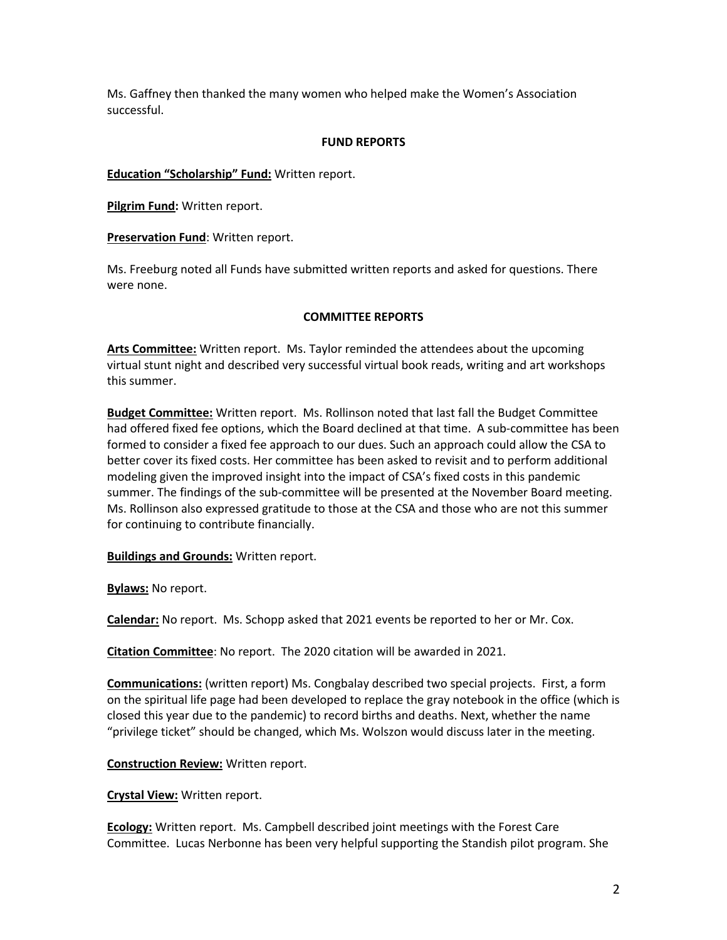Ms. Gaffney then thanked the many women who helped make the Women's Association successful.

## **FUND REPORTS**

**Education "Scholarship" Fund:** Written report.

**Pilgrim Fund:** Written report.

**Preservation Fund**: Written report.

Ms. Freeburg noted all Funds have submitted written reports and asked for questions. There were none.

#### **COMMITTEE REPORTS**

**Arts Committee:** Written report. Ms. Taylor reminded the attendees about the upcoming virtual stunt night and described very successful virtual book reads, writing and art workshops this summer.

**Budget Committee:** Written report. Ms. Rollinson noted that last fall the Budget Committee had offered fixed fee options, which the Board declined at that time. A sub-committee has been formed to consider a fixed fee approach to our dues. Such an approach could allow the CSA to better cover its fixed costs. Her committee has been asked to revisit and to perform additional modeling given the improved insight into the impact of CSA's fixed costs in this pandemic summer. The findings of the sub-committee will be presented at the November Board meeting. Ms. Rollinson also expressed gratitude to those at the CSA and those who are not this summer for continuing to contribute financially.

**Buildings and Grounds:** Written report.

**Bylaws:** No report.

**Calendar:** No report. Ms. Schopp asked that 2021 events be reported to her or Mr. Cox.

**Citation Committee**: No report. The 2020 citation will be awarded in 2021.

**Communications:** (written report) Ms. Congbalay described two special projects. First, a form on the spiritual life page had been developed to replace the gray notebook in the office (which is closed this year due to the pandemic) to record births and deaths. Next, whether the name "privilege ticket" should be changed, which Ms. Wolszon would discuss later in the meeting.

**Construction Review:** Written report.

**Crystal View:** Written report.

**Ecology:** Written report. Ms. Campbell described joint meetings with the Forest Care Committee. Lucas Nerbonne has been very helpful supporting the Standish pilot program. She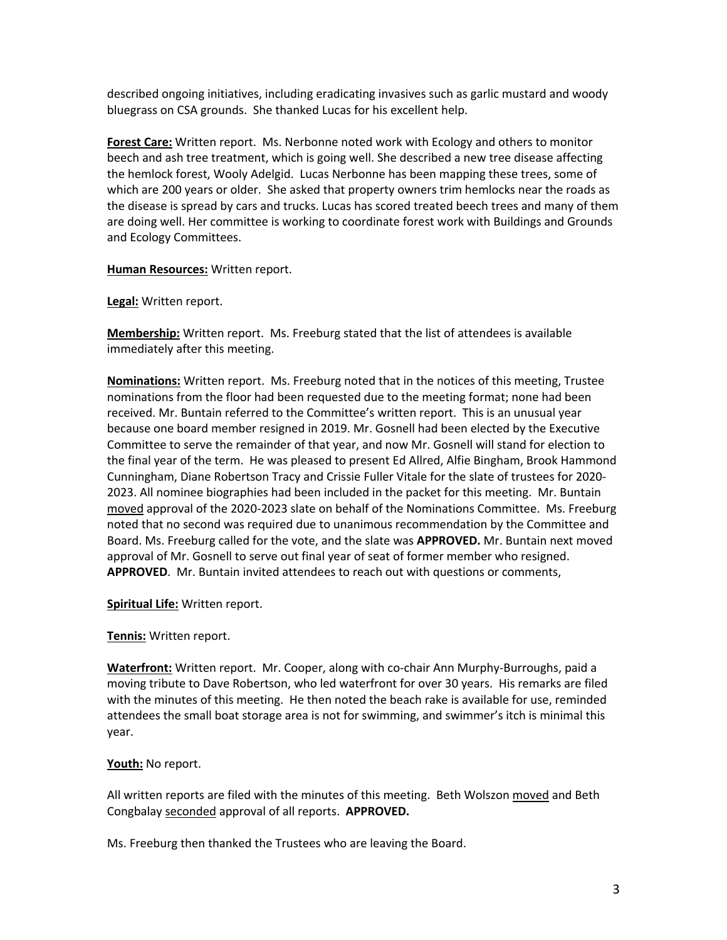described ongoing initiatives, including eradicating invasives such as garlic mustard and woody bluegrass on CSA grounds. She thanked Lucas for his excellent help.

**Forest Care:** Written report. Ms. Nerbonne noted work with Ecology and others to monitor beech and ash tree treatment, which is going well. She described a new tree disease affecting the hemlock forest, Wooly Adelgid. Lucas Nerbonne has been mapping these trees, some of which are 200 years or older. She asked that property owners trim hemlocks near the roads as the disease is spread by cars and trucks. Lucas has scored treated beech trees and many of them are doing well. Her committee is working to coordinate forest work with Buildings and Grounds and Ecology Committees.

**Human Resources:** Written report.

**Legal:** Written report.

**Membership:** Written report. Ms. Freeburg stated that the list of attendees is available immediately after this meeting.

**Nominations:** Written report. Ms. Freeburg noted that in the notices of this meeting, Trustee nominations from the floor had been requested due to the meeting format; none had been received. Mr. Buntain referred to the Committee's written report. This is an unusual year because one board member resigned in 2019. Mr. Gosnell had been elected by the Executive Committee to serve the remainder of that year, and now Mr. Gosnell will stand for election to the final year of the term. He was pleased to present Ed Allred, Alfie Bingham, Brook Hammond Cunningham, Diane Robertson Tracy and Crissie Fuller Vitale for the slate of trustees for 2020- 2023. All nominee biographies had been included in the packet for this meeting. Mr. Buntain moved approval of the 2020-2023 slate on behalf of the Nominations Committee. Ms. Freeburg noted that no second was required due to unanimous recommendation by the Committee and Board. Ms. Freeburg called for the vote, and the slate was **APPROVED.** Mr. Buntain next moved approval of Mr. Gosnell to serve out final year of seat of former member who resigned. **APPROVED**. Mr. Buntain invited attendees to reach out with questions or comments,

**Spiritual Life:** Written report.

**Tennis:** Written report.

**Waterfront:** Written report. Mr. Cooper, along with co-chair Ann Murphy-Burroughs, paid a moving tribute to Dave Robertson, who led waterfront for over 30 years. His remarks are filed with the minutes of this meeting. He then noted the beach rake is available for use, reminded attendees the small boat storage area is not for swimming, and swimmer's itch is minimal this year.

## **Youth:** No report.

All written reports are filed with the minutes of this meeting. Beth Wolszon moved and Beth Congbalay seconded approval of all reports. **APPROVED.**

Ms. Freeburg then thanked the Trustees who are leaving the Board.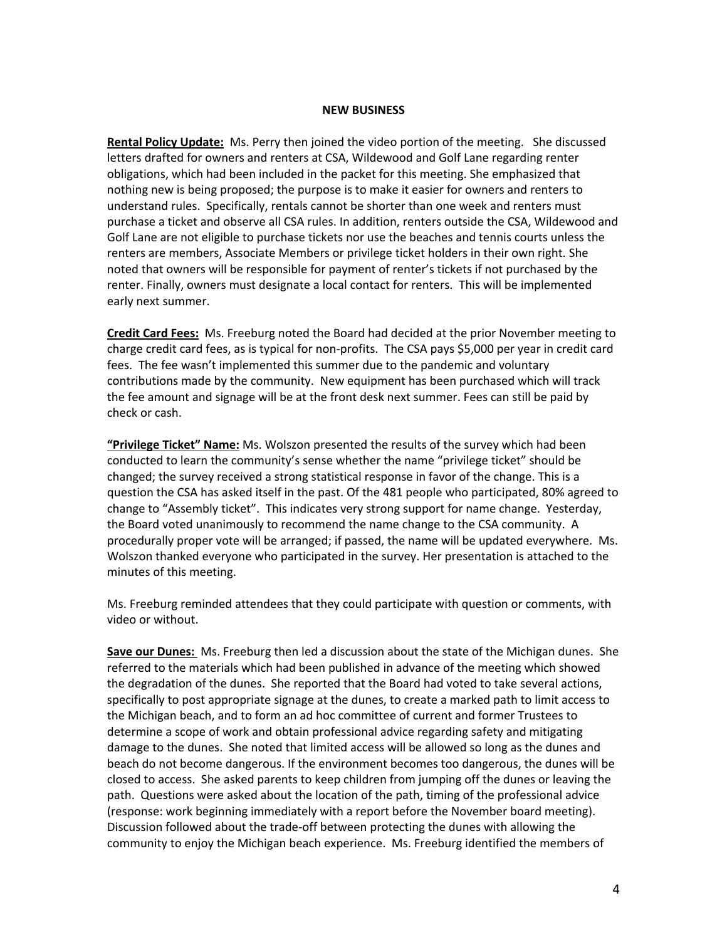#### **NEW BUSINESS**

**Rental Policy Update:** Ms. Perry then joined the video portion of the meeting. She discussed letters drafted for owners and renters at CSA, Wildewood and Golf Lane regarding renter obligations, which had been included in the packet for this meeting. She emphasized that nothing new is being proposed; the purpose is to make it easier for owners and renters to understand rules. Specifically, rentals cannot be shorter than one week and renters must purchase a ticket and observe all CSA rules. In addition, renters outside the CSA, Wildewood and Golf Lane are not eligible to purchase tickets nor use the beaches and tennis courts unless the renters are members, Associate Members or privilege ticket holders in their own right. She noted that owners will be responsible for payment of renter's tickets if not purchased by the renter. Finally, owners must designate a local contact for renters. This will be implemented early next summer.

**Credit Card Fees:** Ms. Freeburg noted the Board had decided at the prior November meeting to charge credit card fees, as is typical for non-profits. The CSA pays \$5,000 per year in credit card fees. The fee wasn't implemented this summer due to the pandemic and voluntary contributions made by the community. New equipment has been purchased which will track the fee amount and signage will be at the front desk next summer. Fees can still be paid by check or cash.

**"Privilege Ticket" Name:** Ms. Wolszon presented the results of the survey which had been conducted to learn the community's sense whether the name "privilege ticket" should be changed; the survey received a strong statistical response in favor of the change. This is a question the CSA has asked itself in the past. Of the 481 people who participated, 80% agreed to change to "Assembly ticket". This indicates very strong support for name change. Yesterday, the Board voted unanimously to recommend the name change to the CSA community. A procedurally proper vote will be arranged; if passed, the name will be updated everywhere. Ms. Wolszon thanked everyone who participated in the survey. Her presentation is attached to the minutes of this meeting.

Ms. Freeburg reminded attendees that they could participate with question or comments, with video or without.

**Save our Dunes:** Ms. Freeburg then led a discussion about the state of the Michigan dunes. She referred to the materials which had been published in advance of the meeting which showed the degradation of the dunes. She reported that the Board had voted to take several actions, specifically to post appropriate signage at the dunes, to create a marked path to limit access to the Michigan beach, and to form an ad hoc committee of current and former Trustees to determine a scope of work and obtain professional advice regarding safety and mitigating damage to the dunes. She noted that limited access will be allowed so long as the dunes and beach do not become dangerous. If the environment becomes too dangerous, the dunes will be closed to access. She asked parents to keep children from jumping off the dunes or leaving the path. Questions were asked about the location of the path, timing of the professional advice (response: work beginning immediately with a report before the November board meeting). Discussion followed about the trade-off between protecting the dunes with allowing the community to enjoy the Michigan beach experience. Ms. Freeburg identified the members of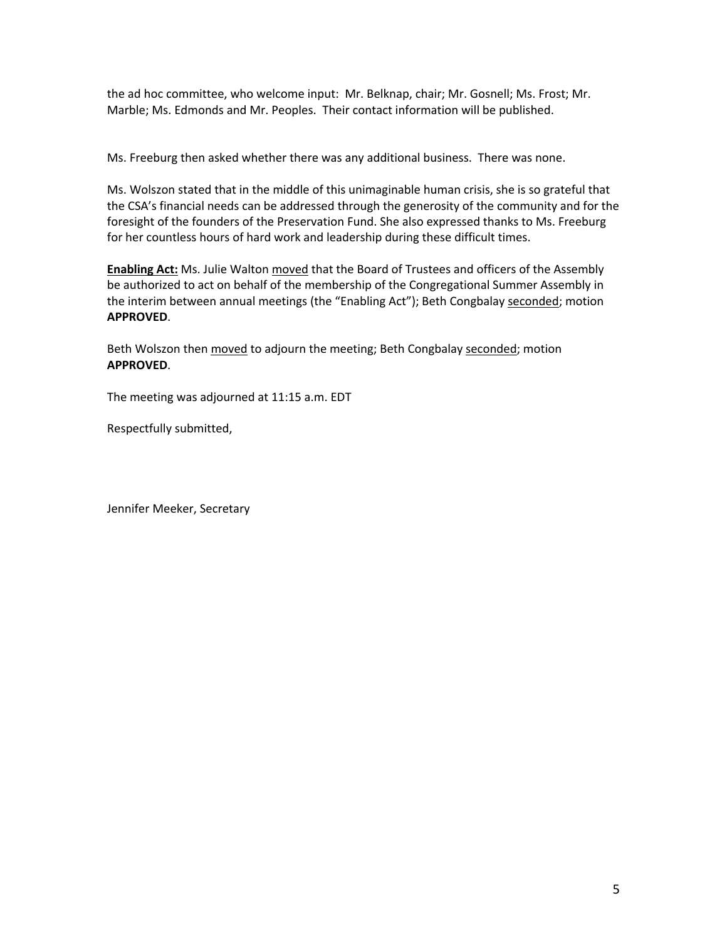the ad hoc committee, who welcome input: Mr. Belknap, chair; Mr. Gosnell; Ms. Frost; Mr. Marble; Ms. Edmonds and Mr. Peoples. Their contact information will be published.

Ms. Freeburg then asked whether there was any additional business. There was none.

Ms. Wolszon stated that in the middle of this unimaginable human crisis, she is so grateful that the CSA's financial needs can be addressed through the generosity of the community and for the foresight of the founders of the Preservation Fund. She also expressed thanks to Ms. Freeburg for her countless hours of hard work and leadership during these difficult times.

**Enabling Act:** Ms. Julie Walton moved that the Board of Trustees and officers of the Assembly be authorized to act on behalf of the membership of the Congregational Summer Assembly in the interim between annual meetings (the "Enabling Act"); Beth Congbalay seconded; motion **APPROVED**.

Beth Wolszon then moved to adjourn the meeting; Beth Congbalay seconded; motion **APPROVED**.

The meeting was adjourned at 11:15 a.m. EDT

Respectfully submitted,

Jennifer Meeker, Secretary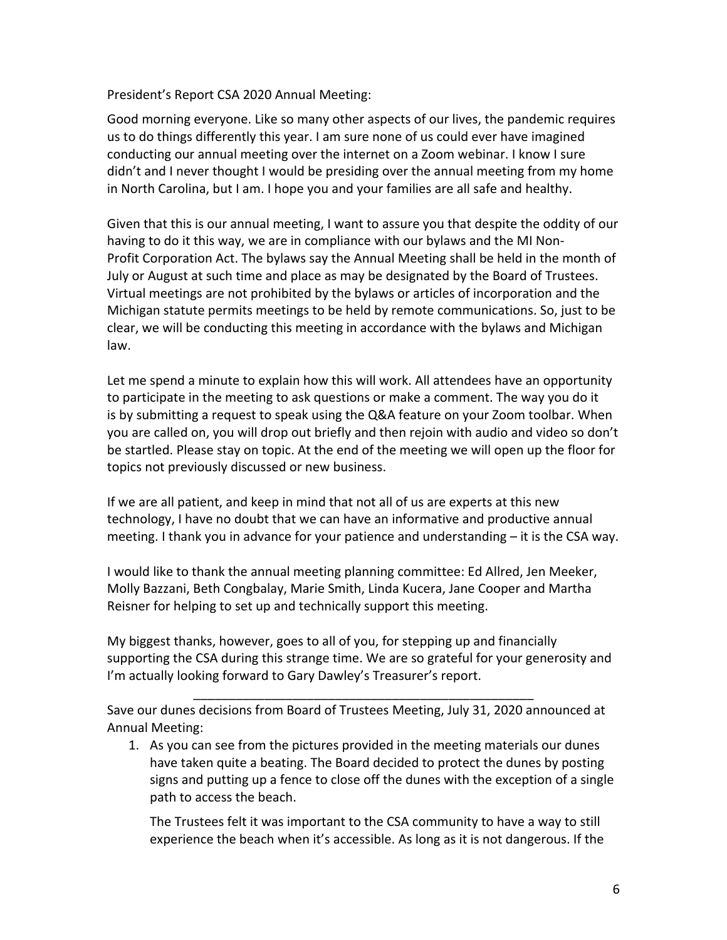## President's Report CSA 2020 Annual Meeting:

Good morning everyone. Like so many other aspects of our lives, the pandemic requires us to do things differently this year. I am sure none of us could ever have imagined conducting our annual meeting over the internet on a Zoom webinar. I know I sure didn't and I never thought I would be presiding over the annual meeting from my home in North Carolina, but I am. I hope you and your families are all safe and healthy.

Given that this is our annual meeting, I want to assure you that despite the oddity of our having to do it this way, we are in compliance with our bylaws and the MI Non-Profit Corporation Act. The bylaws say the Annual Meeting shall be held in the month of July or August at such time and place as may be designated by the Board of Trustees. Virtual meetings are not prohibited by the bylaws or articles of incorporation and the Michigan statute permits meetings to be held by remote communications. So, just to be clear, we will be conducting this meeting in accordance with the bylaws and Michigan law.

Let me spend a minute to explain how this will work. All attendees have an opportunity to participate in the meeting to ask questions or make a comment. The way you do it is by submitting a request to speak using the Q&A feature on your Zoom toolbar. When you are called on, you will drop out briefly and then rejoin with audio and video so don't be startled. Please stay on topic. At the end of the meeting we will open up the floor for topics not previously discussed or new business.

If we are all patient, and keep in mind that not all of us are experts at this new technology, I have no doubt that we can have an informative and productive annual meeting. I thank you in advance for your patience and understanding – it is the CSA way.

I would like to thank the annual meeting planning committee: Ed Allred, Jen Meeker, Molly Bazzani, Beth Congbalay, Marie Smith, Linda Kucera, Jane Cooper and Martha Reisner for helping to set up and technically support this meeting.

My biggest thanks, however, goes to all of you, for stepping up and financially supporting the CSA during this strange time. We are so grateful for your generosity and I'm actually looking forward to Gary Dawley's Treasurer's report.

\_\_\_\_\_\_\_\_\_\_\_\_\_\_\_\_\_\_\_\_\_\_\_\_\_\_\_\_\_\_\_\_\_\_\_\_\_\_\_\_\_\_\_\_\_\_\_\_

Save our dunes decisions from Board of Trustees Meeting, July 31, 2020 announced at Annual Meeting:

1. As you can see from the pictures provided in the meeting materials our dunes have taken quite a beating. The Board decided to protect the dunes by posting signs and putting up a fence to close off the dunes with the exception of a single path to access the beach.

The Trustees felt it was important to the CSA community to have a way to still experience the beach when it's accessible. As long as it is not dangerous. If the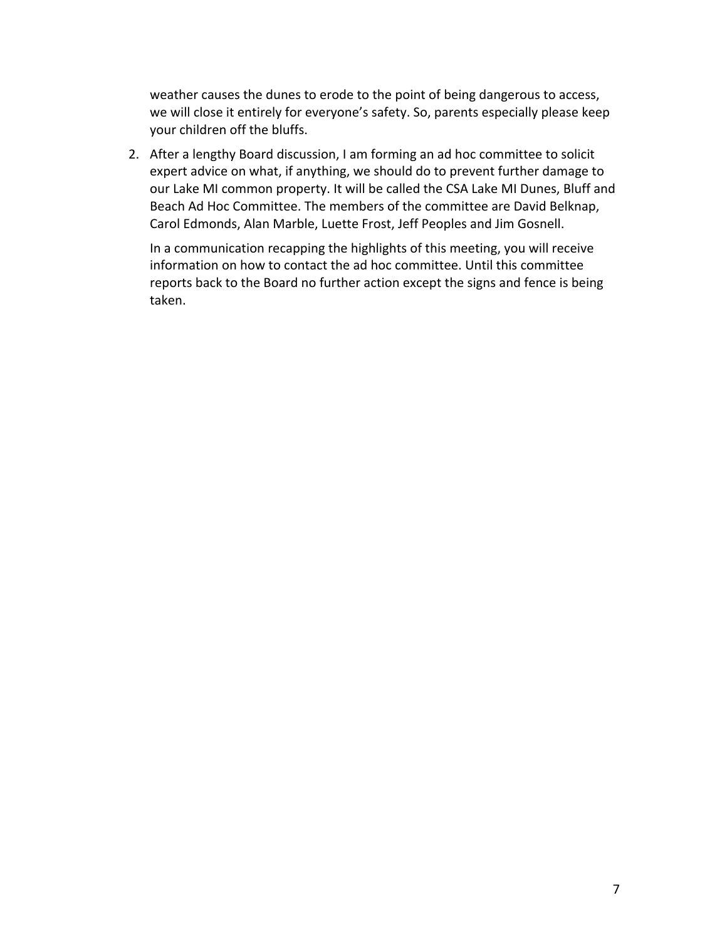weather causes the dunes to erode to the point of being dangerous to access, we will close it entirely for everyone's safety. So, parents especially please keep your children off the bluffs.

2. After a lengthy Board discussion, I am forming an ad hoc committee to solicit expert advice on what, if anything, we should do to prevent further damage to our Lake MI common property. It will be called the CSA Lake MI Dunes, Bluff and Beach Ad Hoc Committee. The members of the committee are David Belknap, Carol Edmonds, Alan Marble, Luette Frost, Jeff Peoples and Jim Gosnell.

In a communication recapping the highlights of this meeting, you will receive information on how to contact the ad hoc committee. Until this committee reports back to the Board no further action except the signs and fence is being taken.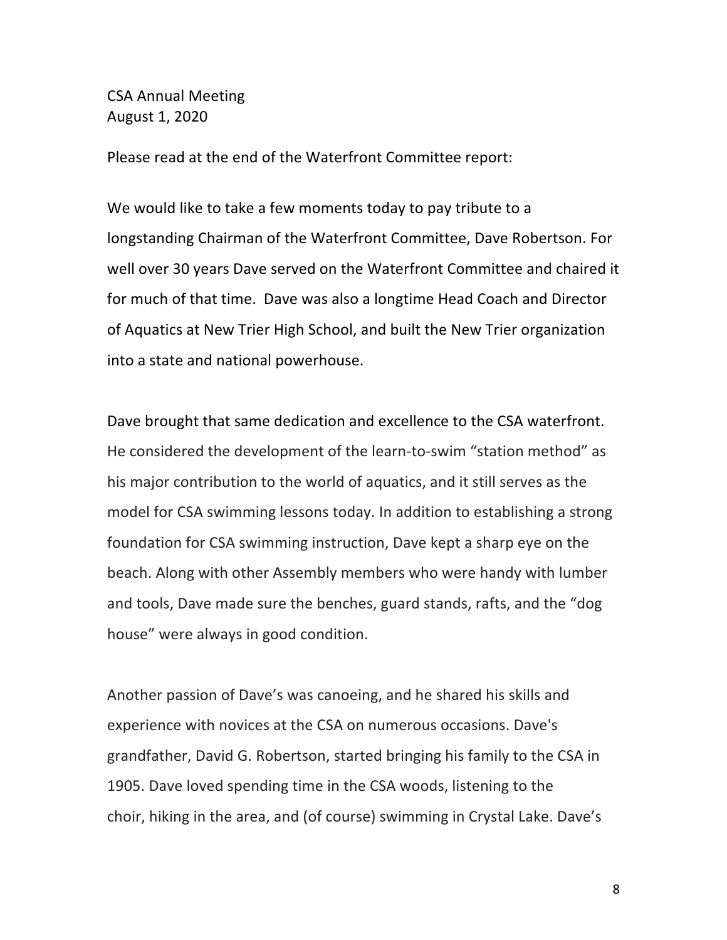CSA Annual Meeting August 1, 2020

Please read at the end of the Waterfront Committee report:

We would like to take a few moments today to pay tribute to a longstanding Chairman of the Waterfront Committee, Dave Robertson. For well over 30 years Dave served on the Waterfront Committee and chaired it for much of that time. Dave was also a longtime Head Coach and Director of Aquatics at New Trier High School, and built the New Trier organization into a state and national powerhouse.

Dave brought that same dedication and excellence to the CSA waterfront. He considered the development of the learn-to-swim "station method" as his major contribution to the world of aquatics, and it still serves as the model for CSA swimming lessons today. In addition to establishing a strong foundation for CSA swimming instruction, Dave kept a sharp eye on the beach. Along with other Assembly members who were handy with lumber and tools, Dave made sure the benches, guard stands, rafts, and the "dog house" were always in good condition.

Another passion of Dave's was canoeing, and he shared his skills and experience with novices at the CSA on numerous occasions. Dave's grandfather, David G. Robertson, started bringing his family to the CSA in 1905. Dave loved spending time in the CSA woods, listening to the choir, hiking in the area, and (of course) swimming in Crystal Lake. Dave's

8